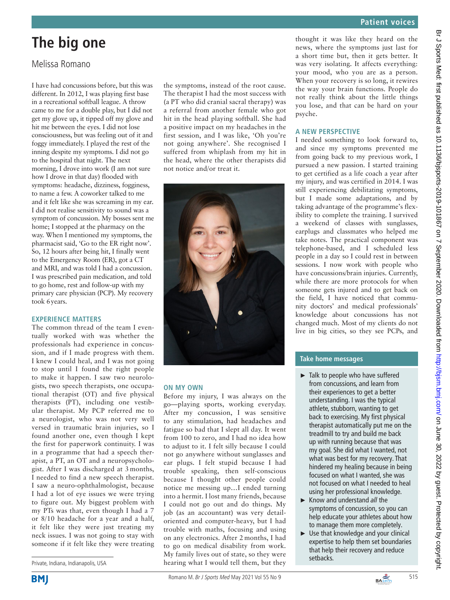# **The big one**

# Melissa Romano

I have had concussions before, but this was different. In 2012, I was playing first base in a recreational softball league. A throw came to me for a double play, but I did not get my glove up, it tipped off my glove and hit me between the eyes. I did not lose consciousness, but was feeling out of it and foggy immediately. I played the rest of the inning despite my symptoms. I did not go to the hospital that night. The next morning, I drove into work (I am not sure how I drove in that day) flooded with symptoms: headache, dizziness, fogginess, to name a few. A coworker talked to me and it felt like she was screaming in my ear. I did not realise sensitivity to sound was a symptom of concussion. My bosses sent me home; I stopped at the pharmacy on the way. When I mentioned my symptoms, the pharmacist said, 'Go to the ER right now'. So, 12 hours after being hit, I finally went to the Emergency Room (ER), got a CT and MRI, and was told I had a concussion. I was prescribed pain medication, and told to go home, rest and follow-up with my primary care physician (PCP). My recovery took 6years.

#### **Experience matters**

The common thread of the team I eventually worked with was whether the professionals had experience in concussion, and if I made progress with them. I knew I could heal, and I was not going to stop until I found the right people to make it happen. I saw two neurologists, two speech therapists, one occupational therapist (OT) and five physical therapists (PT), including one vestibular therapist. My PCP referred me to a neurologist, who was not very well versed in traumatic brain injuries, so I found another one, even though I kept the first for paperwork continuity. I was in a programme that had a speech therapist, a PT, an OT and a neuropsychologist. After I was discharged at 3 months, I needed to find a new speech therapist. I saw a neuro-ophthalmologist, because I had a lot of eye issues we were trying to figure out. My biggest problem with my PTs was that, even though I had a 7 or 8/10 headache for a year and a half, it felt like they were just treating my neck issues. I was not going to stay with someone if it felt like they were treating

Private, Indiana, Indianapolis, USA

**BMI** 

the symptoms, instead of the root cause. The therapist I had the most success with (a PT who did cranial sacral therapy) was a referral from another female who got hit in the head playing softball. She had a positive impact on my headaches in the first session, and I was like, 'Oh you're not going anywhere'. She recognised I suffered from whiplash from my hit in the head, where the other therapists did not notice and/or treat it.



#### **On my own**

Before my injury, I was always on the go—playing sports, working everyday. After my concussion, I was sensitive to any stimulation, had headaches and fatigue so bad that I slept all day. It went from 100 to zero, and I had no idea how to adjust to it. I felt silly because I could not go anywhere without sunglasses and ear plugs. I felt stupid because I had trouble speaking, then self-conscious because I thought other people could notice me messing up…I ended turning into a hermit. I lost many friends, because I could not go out and do things. My job (as an accountant) was very detailoriented and computer-heavy, but I had trouble with maths, focusing and using on any electronics. After 2 months, I had to go on medical disability from work. My family lives out of state, so they were hearing what I would tell them, but they

thought it was like they heard on the news, where the symptoms just last for a short time but, then it gets better. It was very isolating. It affects everything: your mood, who you are as a person. When your recovery is so long, it rewires the way your brain functions. People do not really think about the little things you lose, and that can be hard on your psyche.

## **A new perspective**

I needed something to look forward to, and since my symptoms prevented me from going back to my previous work, I pursued a new passion. I started training to get certified as a life coach a year after my injury, and was certified in 2014. I was still experiencing debilitating symptoms, but I made some adaptations, and by taking advantage of the programme's flexibility to complete the training. I survived a weekend of classes with sunglasses, earplugs and classmates who helped me take notes. The practical component was telephone-based, and I scheduled less people in a day so I could rest in between sessions. I now work with people who have concussions/brain injuries. Currently, while there are more protocols for when someone gets injured and to get back on the field, I have noticed that community doctors' and medical professionals' knowledge about concussions has not changed much. Most of my clients do not live in big cities, so they see PCPs, and

### **Take home messages**

- ► Talk to people who have suffered from concussions, and learn from their experiences to get a better understanding. I was the typical athlete, stubborn, wanting to get back to exercising. My first physical therapist automatically put me on the treadmill to try and build me back up with running because that was my goal. She did what I wanted, not what was best for my recovery. That hindered my healing because in being focused on what I wanted, she was not focused on what I needed to heal using her professional knowledge.
- ► Know and understand *all* the symptoms of concussion, so you can help educate your athletes about how to manage them more completely.
- ► Use that knowledge and your clinical expertise to help them set boundaries that help their recovery and reduce setbacks.